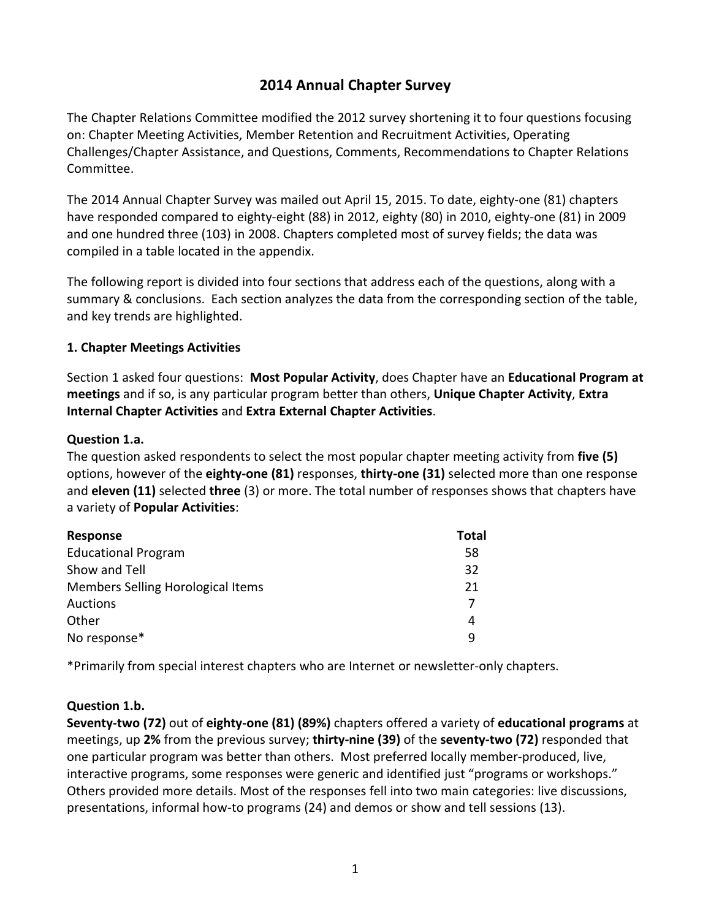# **2014 Annual Chapter Survey**

The Chapter Relations Committee modified the 2012 survey shortening it to four questions focusing on: Chapter Meeting Activities, Member Retention and Recruitment Activities, Operating Challenges/Chapter Assistance, and Questions, Comments, Recommendations to Chapter Relations Committee.

The 2014 Annual Chapter Survey was mailed out April 15, 2015. To date, eighty-one (81) chapters have responded compared to eighty-eight (88) in 2012, eighty (80) in 2010, eighty-one (81) in 2009 and one hundred three (103) in 2008. Chapters completed most of survey fields; the data was compiled in a table located in the appendix.

The following report is divided into four sections that address each of the questions, along with a summary & conclusions. Each section analyzes the data from the corresponding section of the table, and key trends are highlighted.

#### **1. Chapter Meetings Activities**

Section 1 asked four questions: **Most Popular Activity**, does Chapter have an **Educational Program at meetings** and if so, is any particular program better than others, **Unique Chapter Activity**, **Extra Internal Chapter Activities** and **Extra External Chapter Activities**.

#### **Question 1.a.**

The question asked respondents to select the most popular chapter meeting activity from **five (5)** options, however of the **eighty-one (81)** responses, **thirty-one (31)** selected more than one response and **eleven (11)** selected **three** (3) or more. The total number of responses shows that chapters have a variety of **Popular Activities**:

| Response                          | <b>Total</b> |
|-----------------------------------|--------------|
| <b>Educational Program</b>        | 58           |
| Show and Tell                     | 32           |
| Members Selling Horological Items | 21           |
| <b>Auctions</b>                   |              |
| Other                             | 4            |
| No response*                      | q            |

\*Primarily from special interest chapters who are Internet or newsletter-only chapters.

## **Question 1.b.**

**Seventy-two (72)** out of **eighty-one (81) (89%)** chapters offered a variety of **educational programs** at meetings, up **2%** from the previous survey; **thirty-nine (39)** of the **seventy-two (72)** responded that one particular program was better than others. Most preferred locally member-produced, live, interactive programs, some responses were generic and identified just "programs or workshops." Others provided more details. Most of the responses fell into two main categories: live discussions, presentations, informal how-to programs (24) and demos or show and tell sessions (13).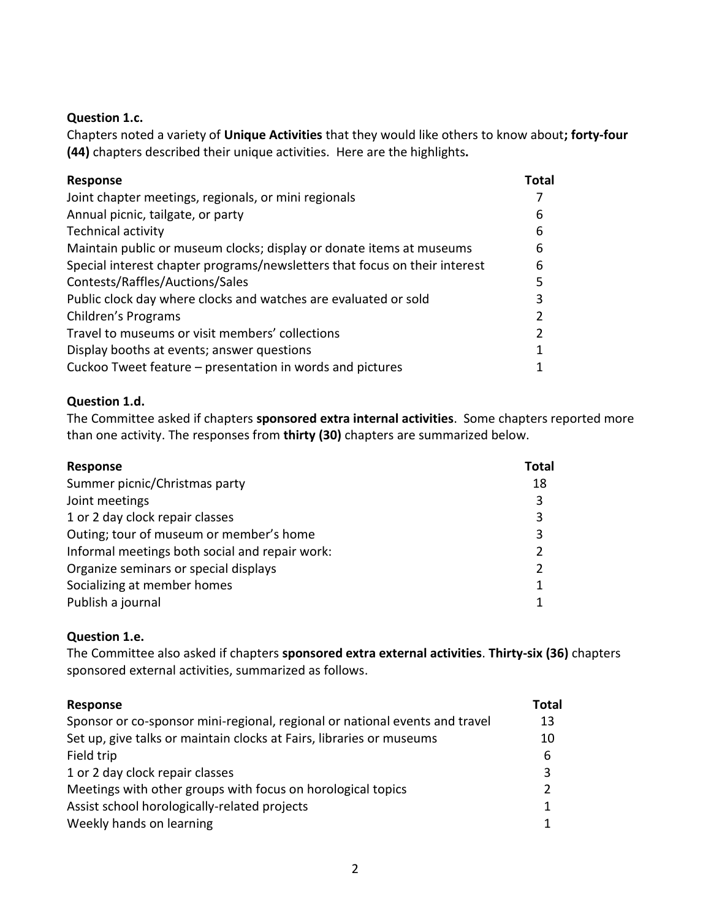#### **Question 1.c.**

Chapters noted a variety of **Unique Activities** that they would like others to know about**; forty-four (44)** chapters described their unique activities.Here are the highlights**.**

| <b>Response</b>                                                            | Total |
|----------------------------------------------------------------------------|-------|
| Joint chapter meetings, regionals, or mini regionals                       |       |
| Annual picnic, tailgate, or party                                          | 6     |
| <b>Technical activity</b>                                                  | 6     |
| Maintain public or museum clocks; display or donate items at museums       | 6     |
| Special interest chapter programs/newsletters that focus on their interest | 6     |
| Contests/Raffles/Auctions/Sales                                            | 5     |
| Public clock day where clocks and watches are evaluated or sold            | 3     |
| Children's Programs                                                        | 2     |
| Travel to museums or visit members' collections                            | 2     |
| Display booths at events; answer questions                                 | 1     |
| Cuckoo Tweet feature – presentation in words and pictures                  |       |

## **Question 1.d.**

The Committee asked if chapters **sponsored extra internal activities**. Some chapters reported more than one activity. The responses from **thirty (30)** chapters are summarized below.

| <b>Response</b>                                | Total          |
|------------------------------------------------|----------------|
| Summer picnic/Christmas party                  | 18             |
| Joint meetings                                 | 3              |
| 1 or 2 day clock repair classes                | 3              |
| Outing; tour of museum or member's home        | 3              |
| Informal meetings both social and repair work: |                |
| Organize seminars or special displays          | $\overline{2}$ |
| Socializing at member homes                    | 1              |
| Publish a journal                              |                |

## **Question 1.e.**

The Committee also asked if chapters **sponsored extra external activities**. **Thirty-six (36)** chapters sponsored external activities, summarized as follows.

| Response                                                                    | Total |
|-----------------------------------------------------------------------------|-------|
| Sponsor or co-sponsor mini-regional, regional or national events and travel | 13    |
| Set up, give talks or maintain clocks at Fairs, libraries or museums        | 10    |
| Field trip                                                                  | 6     |
| 1 or 2 day clock repair classes                                             | 3     |
| Meetings with other groups with focus on horological topics                 | 2     |
| Assist school horologically-related projects                                | 1     |
| Weekly hands on learning                                                    |       |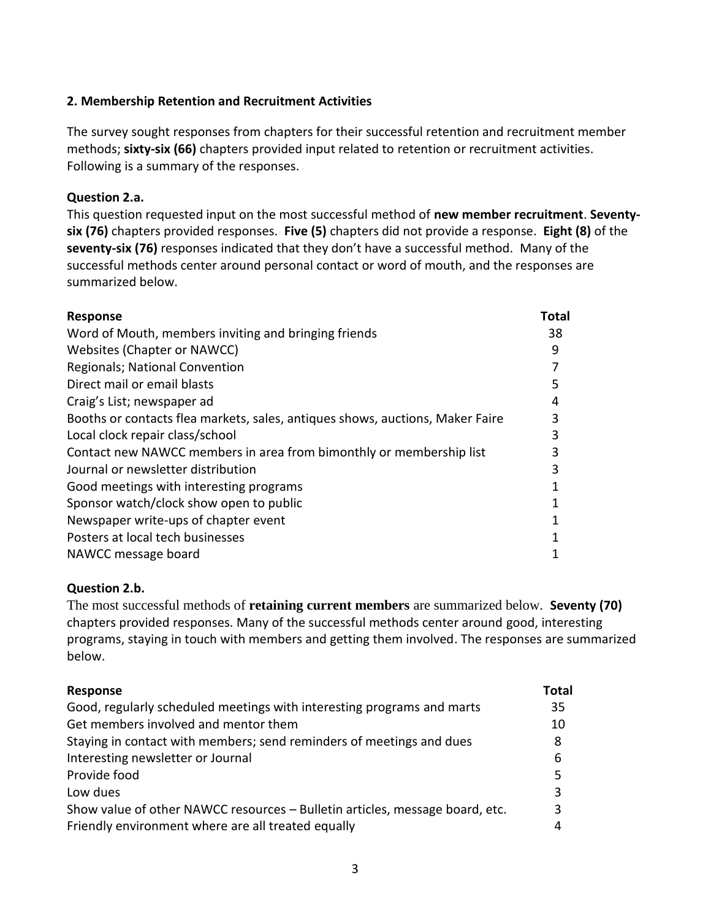## **2. Membership Retention and Recruitment Activities**

The survey sought responses from chapters for their successful retention and recruitment member methods; **sixty-six (66)** chapters provided input related to retention or recruitment activities. Following is a summary of the responses.

#### **Question 2.a.**

This question requested input on the most successful method of **new member recruitment**. **Seventysix (76)** chapters provided responses. **Five (5)** chapters did not provide a response. **Eight (8)** of the **seventy-six (76)** responses indicated that they don't have a successful method. Many of the successful methods center around personal contact or word of mouth, and the responses are summarized below.

| <b>Response</b>                                                               | Total |
|-------------------------------------------------------------------------------|-------|
| Word of Mouth, members inviting and bringing friends                          | 38    |
| Websites (Chapter or NAWCC)                                                   | 9     |
| <b>Regionals; National Convention</b>                                         |       |
| Direct mail or email blasts                                                   | 5     |
| Craig's List; newspaper ad                                                    | 4     |
| Booths or contacts flea markets, sales, antiques shows, auctions, Maker Faire | 3     |
| Local clock repair class/school                                               | 3     |
| Contact new NAWCC members in area from bimonthly or membership list           | 3     |
| Journal or newsletter distribution                                            | 3     |
| Good meetings with interesting programs                                       |       |
| Sponsor watch/clock show open to public                                       |       |
| Newspaper write-ups of chapter event                                          |       |
| Posters at local tech businesses                                              |       |
| NAWCC message board                                                           |       |

## **Question 2.b.**

The most successful methods of **retaining current members** are summarized below. **Seventy (70)** chapters provided responses. Many of the successful methods center around good, interesting programs, staying in touch with members and getting them involved. The responses are summarized below.

| <b>Response</b>                                                              | Total |
|------------------------------------------------------------------------------|-------|
| Good, regularly scheduled meetings with interesting programs and marts       | 35    |
| Get members involved and mentor them                                         | 10    |
| Staying in contact with members; send reminders of meetings and dues         | 8     |
| Interesting newsletter or Journal                                            | 6     |
| Provide food                                                                 | 5     |
| Low dues                                                                     | 3     |
| Show value of other NAWCC resources - Bulletin articles, message board, etc. | 3     |
| Friendly environment where are all treated equally                           | 4     |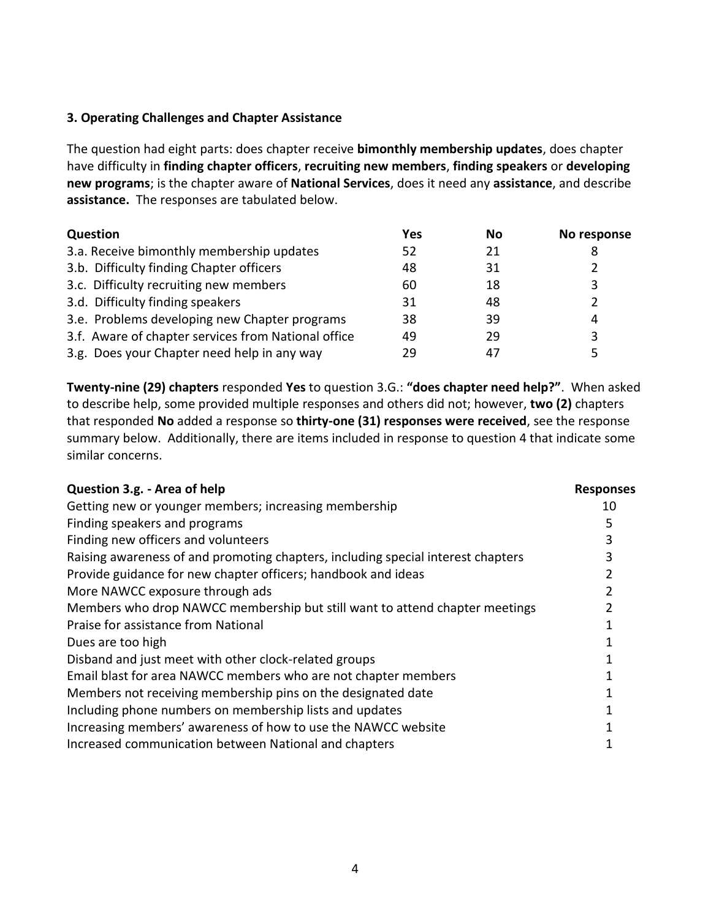#### **3. Operating Challenges and Chapter Assistance**

The question had eight parts: does chapter receive **bimonthly membership updates**, does chapter have difficulty in **finding chapter officers**, **recruiting new members**, **finding speakers** or **developing new programs**; is the chapter aware of **National Services**, does it need any **assistance**, and describe **assistance.** The responses are tabulated below.

| Question                                            | Yes | No | No response |
|-----------------------------------------------------|-----|----|-------------|
| 3.a. Receive bimonthly membership updates           | 52  | 21 | 8           |
| 3.b. Difficulty finding Chapter officers            | 48  | 31 | າ           |
| 3.c. Difficulty recruiting new members              | 60  | 18 | 3           |
| 3.d. Difficulty finding speakers                    | 31  | 48 |             |
| 3.e. Problems developing new Chapter programs       | 38  | 39 | 4           |
| 3.f. Aware of chapter services from National office | 49  | 29 | 3           |
| 3.g. Does your Chapter need help in any way         | 29  | 47 |             |

**Twenty-nine (29) chapters** responded **Yes** to question 3.G.: **"does chapter need help?"**.When asked to describe help, some provided multiple responses and others did not; however, **two (2)** chapters that responded **No** added a response so **thirty-one (31) responses were received**, see the response summary below. Additionally, there are items included in response to question 4 that indicate some similar concerns.

| Question 3.g. - Area of help                                                     | <b>Responses</b> |
|----------------------------------------------------------------------------------|------------------|
| Getting new or younger members; increasing membership                            | 10               |
| Finding speakers and programs                                                    |                  |
| Finding new officers and volunteers                                              |                  |
| Raising awareness of and promoting chapters, including special interest chapters |                  |
| Provide guidance for new chapter officers; handbook and ideas                    |                  |
| More NAWCC exposure through ads                                                  |                  |
| Members who drop NAWCC membership but still want to attend chapter meetings      |                  |
| Praise for assistance from National                                              |                  |
| Dues are too high                                                                |                  |
| Disband and just meet with other clock-related groups                            |                  |
| Email blast for area NAWCC members who are not chapter members                   |                  |
| Members not receiving membership pins on the designated date                     |                  |
| Including phone numbers on membership lists and updates                          |                  |
| Increasing members' awareness of how to use the NAWCC website                    |                  |
| Increased communication between National and chapters                            |                  |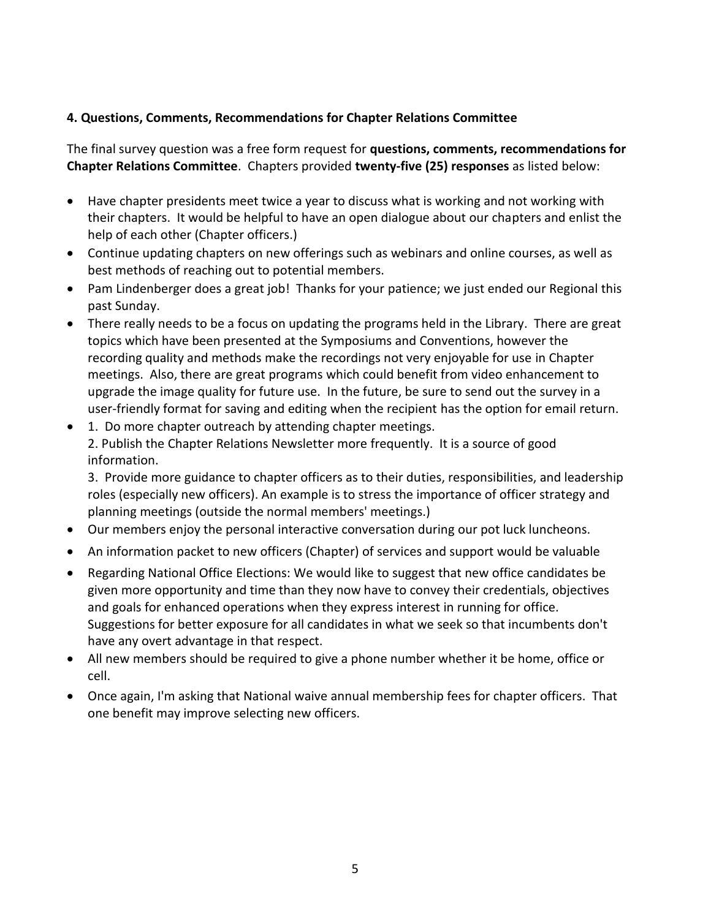## **4. Questions, Comments, Recommendations for Chapter Relations Committee**

The final survey question was a free form request for **questions, comments, recommendations for Chapter Relations Committee**. Chapters provided **twenty-five (25) responses** as listed below:

- Have chapter presidents meet twice a year to discuss what is working and not working with their chapters. It would be helpful to have an open dialogue about our chapters and enlist the help of each other (Chapter officers.)
- Continue updating chapters on new offerings such as webinars and online courses, as well as best methods of reaching out to potential members.
- Pam Lindenberger does a great job! Thanks for your patience; we just ended our Regional this past Sunday.
- There really needs to be a focus on updating the programs held in the Library. There are great topics which have been presented at the Symposiums and Conventions, however the recording quality and methods make the recordings not very enjoyable for use in Chapter meetings. Also, there are great programs which could benefit from video enhancement to upgrade the image quality for future use. In the future, be sure to send out the survey in a user-friendly format for saving and editing when the recipient has the option for email return.
- 1. Do more chapter outreach by attending chapter meetings. 2. Publish the Chapter Relations Newsletter more frequently. It is a source of good information.

3. Provide more guidance to chapter officers as to their duties, responsibilities, and leadership roles (especially new officers). An example is to stress the importance of officer strategy and planning meetings (outside the normal members' meetings.)

- Our members enjoy the personal interactive conversation during our pot luck luncheons.
- An information packet to new officers (Chapter) of services and support would be valuable
- Regarding National Office Elections: We would like to suggest that new office candidates be given more opportunity and time than they now have to convey their credentials, objectives and goals for enhanced operations when they express interest in running for office. Suggestions for better exposure for all candidates in what we seek so that incumbents don't have any overt advantage in that respect.
- All new members should be required to give a phone number whether it be home, office or cell.
- Once again, I'm asking that National waive annual membership fees for chapter officers. That one benefit may improve selecting new officers.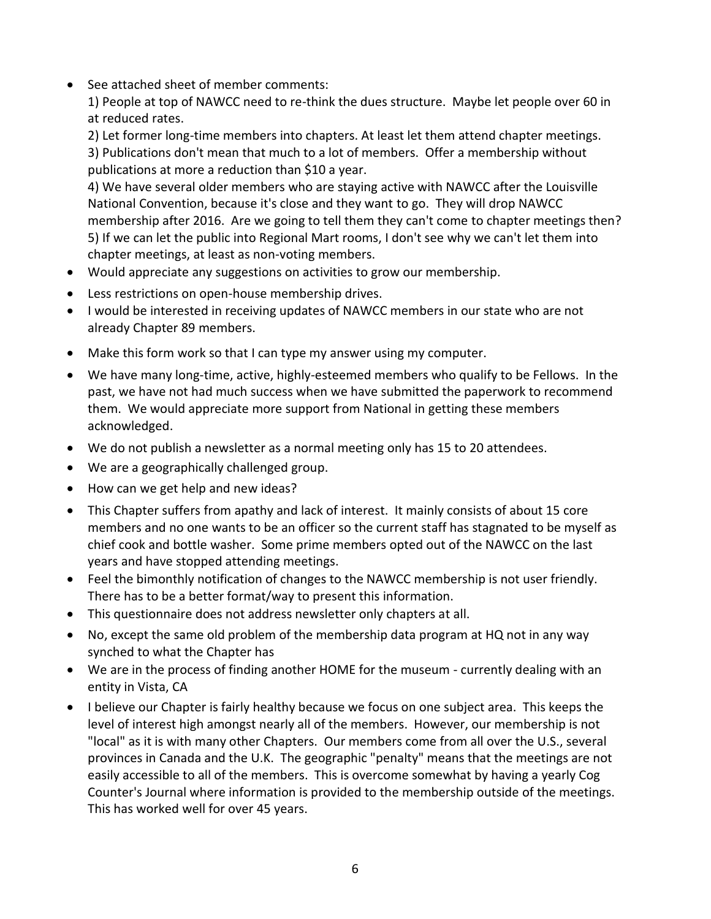• See attached sheet of member comments:

1) People at top of NAWCC need to re-think the dues structure. Maybe let people over 60 in at reduced rates.

2) Let former long-time members into chapters. At least let them attend chapter meetings. 3) Publications don't mean that much to a lot of members. Offer a membership without

publications at more a reduction than \$10 a year.

4) We have several older members who are staying active with NAWCC after the Louisville National Convention, because it's close and they want to go. They will drop NAWCC membership after 2016. Are we going to tell them they can't come to chapter meetings then? 5) If we can let the public into Regional Mart rooms, I don't see why we can't let them into chapter meetings, at least as non-voting members.

- Would appreciate any suggestions on activities to grow our membership.
- Less restrictions on open-house membership drives.
- I would be interested in receiving updates of NAWCC members in our state who are not already Chapter 89 members.
- Make this form work so that I can type my answer using my computer.
- We have many long-time, active, highly-esteemed members who qualify to be Fellows. In the past, we have not had much success when we have submitted the paperwork to recommend them. We would appreciate more support from National in getting these members acknowledged.
- We do not publish a newsletter as a normal meeting only has 15 to 20 attendees.
- We are a geographically challenged group.
- How can we get help and new ideas?
- This Chapter suffers from apathy and lack of interest. It mainly consists of about 15 core members and no one wants to be an officer so the current staff has stagnated to be myself as chief cook and bottle washer. Some prime members opted out of the NAWCC on the last years and have stopped attending meetings.
- Feel the bimonthly notification of changes to the NAWCC membership is not user friendly. There has to be a better format/way to present this information.
- This questionnaire does not address newsletter only chapters at all.
- No, except the same old problem of the membership data program at HQ not in any way synched to what the Chapter has
- We are in the process of finding another HOME for the museum currently dealing with an entity in Vista, CA
- I believe our Chapter is fairly healthy because we focus on one subject area. This keeps the level of interest high amongst nearly all of the members. However, our membership is not "local" as it is with many other Chapters. Our members come from all over the U.S., several provinces in Canada and the U.K. The geographic "penalty" means that the meetings are not easily accessible to all of the members. This is overcome somewhat by having a yearly Cog Counter's Journal where information is provided to the membership outside of the meetings. This has worked well for over 45 years.